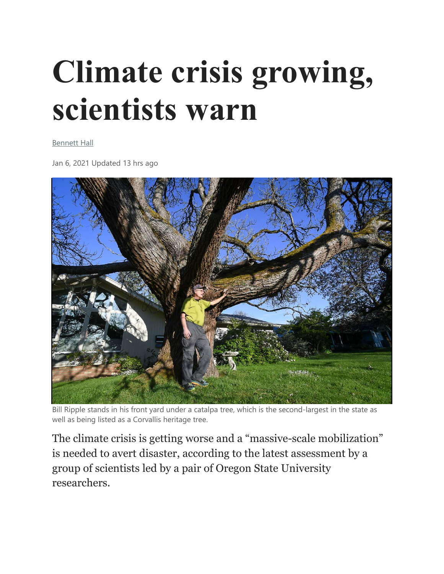## **Climate crisis growing, scientists warn**

[Bennett Hall](https://www.gazettetimes.com/users/profile/BennettHall)

Jan 6, 2021 Updated 13 hrs ago



Bill Ripple stands in his front yard under a catalpa tree, which is the second-largest in the state as well as being listed as a Corvallis heritage tree.

The climate crisis is getting worse and a "massive-scale mobilization" is needed to avert disaster, according to the latest assessment by a group of scientists led by a pair of Oregon State University researchers.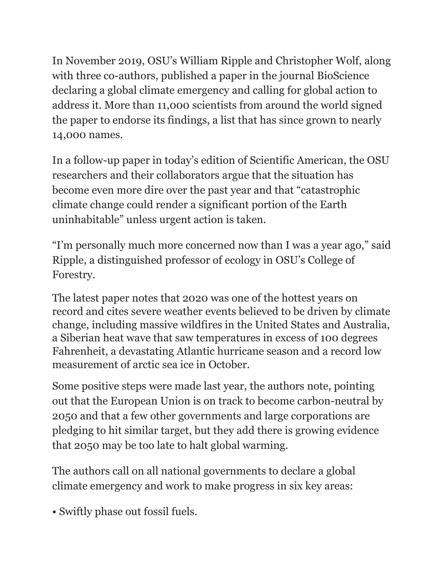In November 2019, OSU's William Ripple and Christopher Wolf, along with three co-authors, published a paper in the journal BioScience declaring a global climate emergency and calling for global action to address it. More than 11,000 scientists from around the world signed the paper to endorse its findings, a list that has since grown to nearly 14,000 names.

In a follow-up paper in today's edition of Scientific American, the OSU researchers and their collaborators argue that the situation has become even more dire over the past year and that "catastrophic climate change could render a significant portion of the Earth uninhabitable" unless urgent action is taken.

"I'm personally much more concerned now than I was a year ago," said Ripple, a distinguished professor of ecology in OSU's College of Forestry.

The latest paper notes that 2020 was one of the hottest years on record and cites severe weather events believed to be driven by climate change, including massive wildfires in the United States and Australia, a Siberian heat wave that saw temperatures in excess of 100 degrees Fahrenheit, a devastating Atlantic hurricane season and a record low measurement of arctic sea ice in October.

Some positive steps were made last year, the authors note, pointing out that the European Union is on track to become carbon-neutral by 2050 and that a few other governments and large corporations are pledging to hit similar target, but they add there is growing evidence that 2050 may be too late to halt global warming.

The authors call on all national governments to declare a global climate emergency and work to make progress in six key areas:

• Swiftly phase out fossil fuels.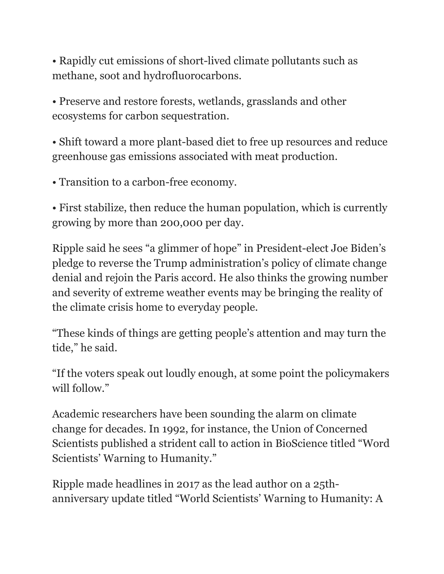• Rapidly cut emissions of short-lived climate pollutants such as methane, soot and hydrofluorocarbons.

• Preserve and restore forests, wetlands, grasslands and other ecosystems for carbon sequestration.

• Shift toward a more plant-based diet to free up resources and reduce greenhouse gas emissions associated with meat production.

• Transition to a carbon-free economy.

• First stabilize, then reduce the human population, which is currently growing by more than 200,000 per day.

Ripple said he sees "a glimmer of hope" in President-elect Joe Biden's pledge to reverse the Trump administration's policy of climate change denial and rejoin the Paris accord. He also thinks the growing number and severity of extreme weather events may be bringing the reality of the climate crisis home to everyday people.

"These kinds of things are getting people's attention and may turn the tide," he said.

"If the voters speak out loudly enough, at some point the policymakers will follow."

Academic researchers have been sounding the alarm on climate change for decades. In 1992, for instance, the Union of Concerned Scientists published a strident call to action in BioScience titled "Word Scientists' Warning to Humanity."

Ripple made headlines in 2017 as the lead author on a 25thanniversary update titled "World Scientists' Warning to Humanity: A